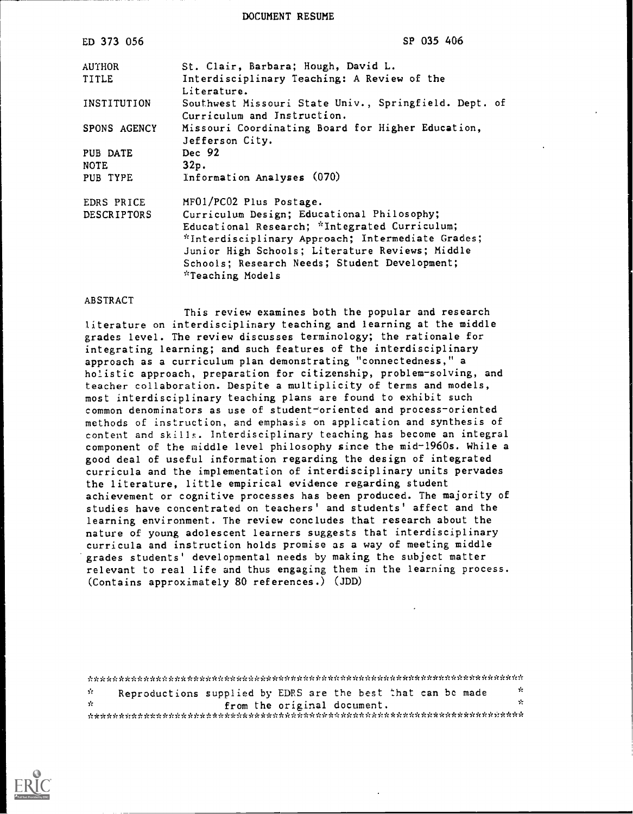DOCUMENT RESUME

| ED 373 056         | SP 035 406                                                                                                                                                                                                                                                               |
|--------------------|--------------------------------------------------------------------------------------------------------------------------------------------------------------------------------------------------------------------------------------------------------------------------|
| AUTHOR             | St. Clair, Barbara; Hough, David L.                                                                                                                                                                                                                                      |
| TITLE              | Interdisciplinary Teaching: A Review of the<br>Literature.                                                                                                                                                                                                               |
| INSTITUTION        | Southwest Missouri State Univ., Springfield. Dept. of<br>Curriculum and Instruction.                                                                                                                                                                                     |
| SPONS AGENCY       | Missouri Coordinating Board for Higher Education,<br>Jefferson City.                                                                                                                                                                                                     |
| PUB DATE           | Dec 92                                                                                                                                                                                                                                                                   |
| <b>NOTE</b>        | 32p.                                                                                                                                                                                                                                                                     |
| PUB TYPE           | Information Analyses (070)                                                                                                                                                                                                                                               |
| EDRS PRICE         | MFO1/PC02 Plus Postage.                                                                                                                                                                                                                                                  |
| <b>DESCRIPTORS</b> | Curriculum Design; Educational Philosophy;<br>Educational Research; *Integrated Curriculum;<br>*Interdisciplinary Approach; Intermediate Grades;<br>Junior High Schools; Literature Reviews; Middle<br>Schools; Research Needs; Student Development;<br>*Teaching Models |

#### ABSTRACT

This review examines both the popular and research literature on interdisciplinary teaching and learning at the middle grades level. The review discusses terminology; the rationale for integrating learning; and such features of the interdisciplinary approach as a curriculum plan demonstrating "connectedness," a holistic approach, preparation for citizenship, problem-solving, and teacher collaboration. Despite a multiplicity of terms and models, most interdisciplinary teaching plans are found to exhibit such common denominators as use of student-oriented and process-oriented methods of instruction, and emphasis on application and synthesis of content and skills. Interdisciplinary teaching has become an integral component of the middle level philosophy since the mid-1960s. While a good deal of useful information regarding the design of integrated curricula and the implementation of interdisciplinary units pervades the literature, little empirical evidence regarding student achievement or cognitive processes has been produced. The majority of studies have concentrated on teachers' and students' affect and the learning environment. The review concludes that research about the nature of young adolescent learners suggests that interdisciplinary curricula and instruction holds promise as a way of meeting middle grades students' developmental needs by making the subject matter relevant to real life and thus engaging them in the learning process. (Contains approximately 80 references.) (JDD)

| У.  |  |  |  | Reproductions supplied by EDRS are the best that can be made | - St |  |  |
|-----|--|--|--|--------------------------------------------------------------|------|--|--|
| de. |  |  |  | from the original document.                                  | ÷.   |  |  |
|     |  |  |  |                                                              |      |  |  |

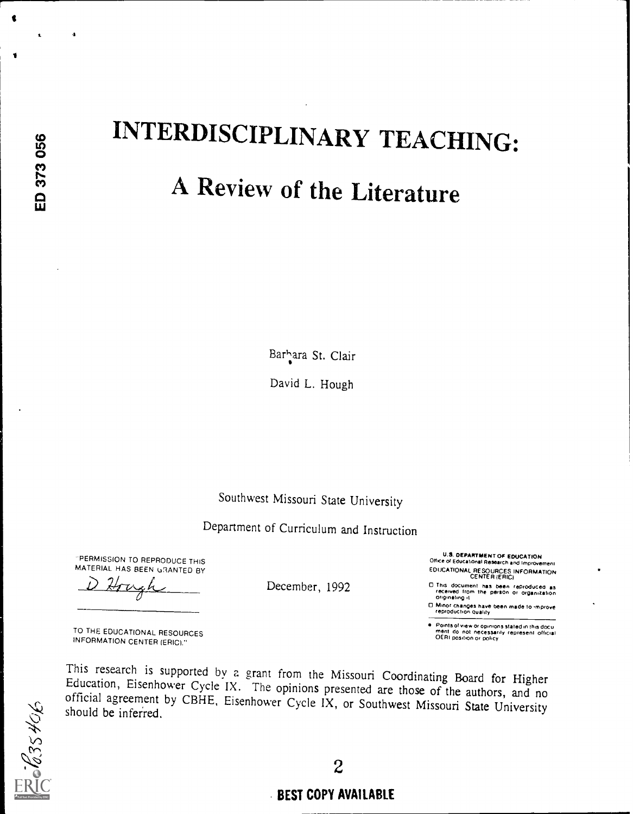1.

 $\mathbf{A}$ 

 $\bullet$ 

# INTERDISCIPLINARY TEACHING: A Review of the Literature

Barhara St. Clair

David L. Hough

Southwest Missouri State University

Department of Curriculum and Instruction

December, 1992

'PERMISSION TO REPRODUCE THIS MATERIAL HAS BEEN GRANTED BY

Hru

TO THE EDUCATIONAL RESOURCES INFORMATION CENTER (ERIC)."

This research is supported by a grant from the Missouri Coordinating Board for Higher Education, Eisenhower Cycle IX. The opinions presented are those of the authors, and no official agreement by CBHE, Eisenhower Cycle IX,

2

#### BEST COPY AVAILABLE

U.S. DEPARTMENT OF EDUCATION Otfice or Educational Reasarch and Improvement EDUCATIONAL RESOURCES INFORMATION CENTER (ERIC)

□ Minor changes have been made to improve<br>- reproduction quality

Points of view or opinions stated in this docu<br>ment ido inot necessarily represent official<br>OERI position or policy

U This document has been reproduced as<br>received from the person or organization originating it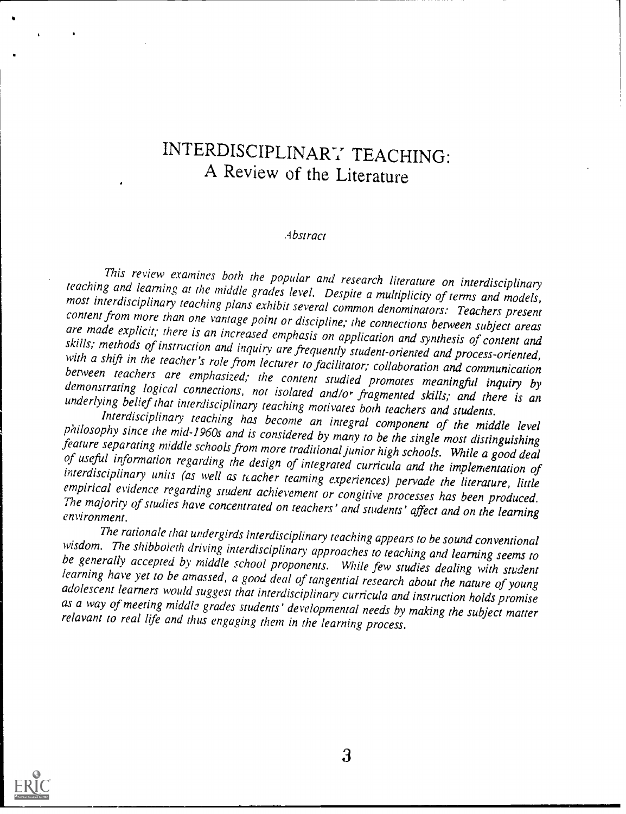## INTERDISCIPLINARY TEACHING: A Review of the Literature

#### .4bstract

This review examines both the popular and research literature on interdisciplinary<br>teaching and learning at the middle grades level. Despite a multiplicity of terms and models,<br>most interdisciplinary teaching plans exhibit

wisdom. The shibboleth driving interdisciplinary approaches to teaching and learning seems to<br>be generally accepted by middle school proponents. While few studies dealing with student<br>learning have yet to be amassed, a goo

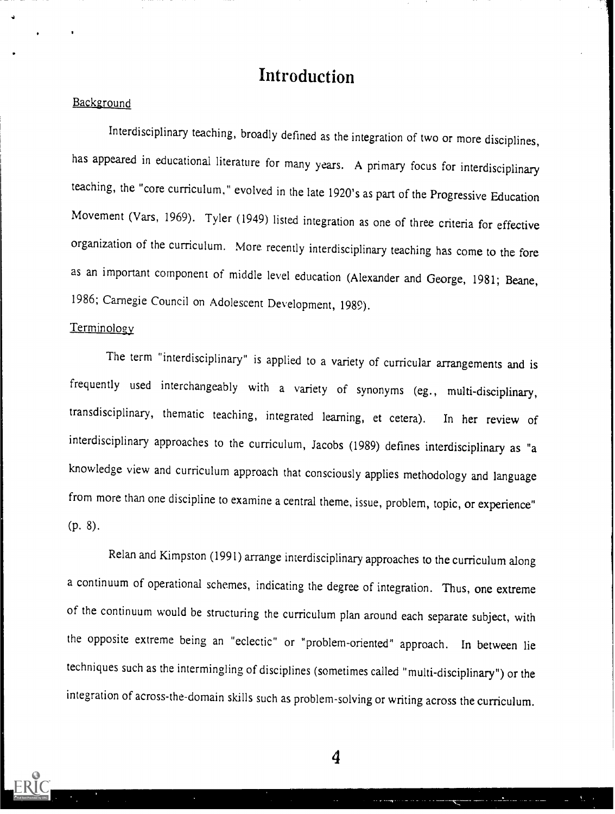## Introduction

#### Background

Interdisciplinary teaching, broadly defined as the integration of two or more disciplines, has appeared in educational literature for many years. A primary focus for interdisciplinary teaching, the "core curriculum," evolved in the late 1920's as part of the Progressive Education Movement (Vars, 1969). Tyler (1949) listed integration as one of three criteria for effective organization of the curriculum. More recently interdisciplinary teaching has come to the fore as an important component of middle level education (Alexander and George, 1981; Beane, 1986; Carnegie Council on Adolescent Development, 1989).

#### Terminology

The term "interdisciplinary" is applied to a variety of curricular arrangements and is frequently used interchangeably with <sup>a</sup> variety of synonyms (eg., multi-disciplinary, transdisciplinary, thematic teaching, integrated learning, et cetera). In her review of interdisciplinary approaches to the curriculum, Jacobs (1989) defines interdisciplinary as "a knowledge view and curriculum approach that consciously applies methodology and language from more than one discipline to examine a central theme, issue, problem, topic, or experience" (P. 8).

Relan and Kimpston (1991) arrange interdisciplinary approaches to the curriculum along a continuum of operational schemes, indicating the degree of integration. Thus, one extreme of the continuum would be structuring the curriculum plan around each separate subject, with the opposite extreme being an "eclectic" or "problem-oriented" approach. In between lie techniques such as the intermingling of disciplines (sometimes called "multi-disciplinary") or the integration of across-the-domain skills such as problem-solving or writing across the curriculum.

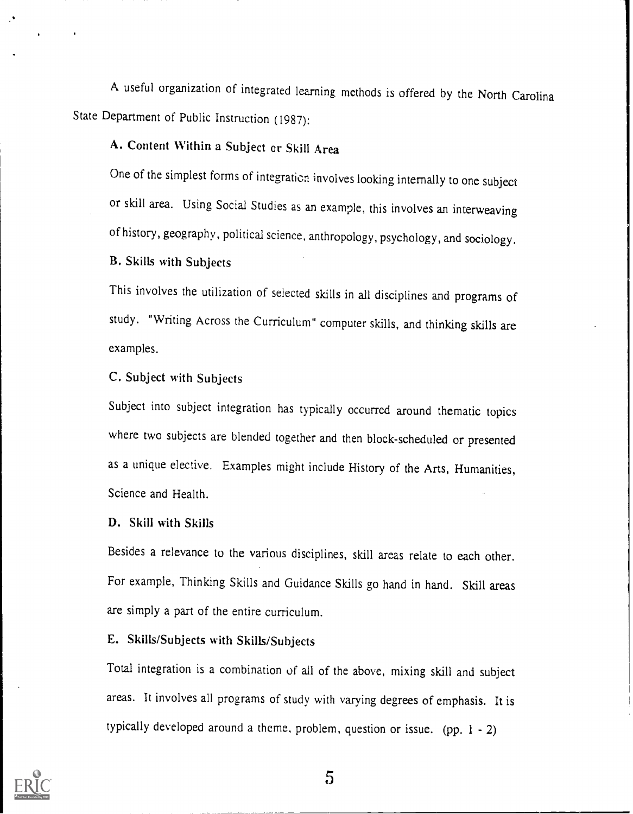A useful organization of integrated learning methods is offered by the North Carolina State Department of Public Instruction (1987):

### A. Content Within a Subject cr Skill Area

One of the simplest forms of integration involves looking internally to one subject or skill area. Using Social Studies as an example, this involves an interweaving of history, geography, political science, anthropology, psychology, and sociology.

#### B. Skills with Subjects

This involves the utilization of selected skills in all disciplines and programs of study. "Writing Across the Curriculum" computer skills, and thinking skills are examples.

#### C. Subject with Subjects

Subject into subject integration has typically occurred around thematic topics where two subjects are blended together and then block-scheduled or presented as a unique elective. Examples might include History of the Arts, Humanities, Science and Health.

#### D. Skill with Skills

Besides a relevance to the various disciplines, skill areas relate to each other. For example, Thinking Skills and Guidance Skills go hand in hand. Skill areas are simply a part of the entire curriculum.

#### E. Skills/Subjects with Skills/Subjects

Total integration is a combination of all of the above, mixing skill and subject areas. It involves all programs of study with varying degrees of emphasis. It is typically developed around a theme, problem, question or issue. (pp. <sup>I</sup> - 2)

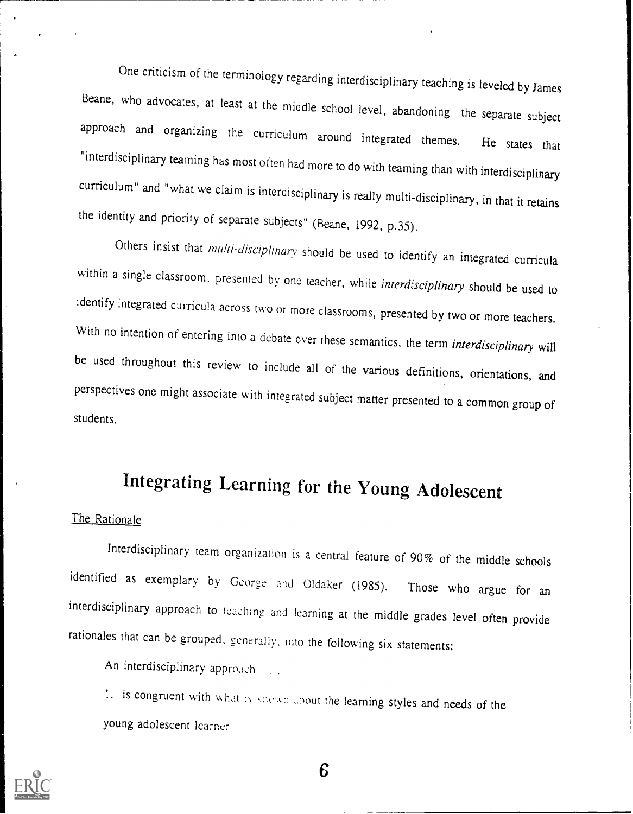One criticism of the terminology regarding interdisciplinary teaching is leveled by James Beane, who advocates, at least at the middle school level, abandoning the separate subject approach and organizing the curriculum around integrated themes. He states that "interdisciplinary teaming has most often had more to do with teaming than with interdisciplinary curriculum" and "what we claim is interdisciplinary is really multi-disciplinary, in that it retains the identity and priority of separate subjects" (Beane, 1992, p.35).

Others insist that multi-disciplinary should be used to identify an integrated curricula within a single classroom, presented by one teacher, while interdisciplinary should be used to identify integrated curricula across two or more classrooms, presented by two or more teachers. With no intention of entering into a debate over these semantics, the term *interdisciplinary* will be used throughout this review to include all of the various definitions, orientations, and perspectives one might associate with integrated subject matter presented to a common group of students.

## Integrating Learning for the Young Adolescent

#### The Rationale

Interdisciplinary team organization is a central feature of 90% of the middle schools identified as exemplary by George and Oldaker (1985). Those who argue for an interdisciplinary approach to teaching and learning at the middle grades level often provide rationales that can be grouped, generally, into the following six statements:

An interdisciplinary appro,ich

 $\therefore$  is congruent with what is knewn about the learning styles and needs of the young adolescent learner

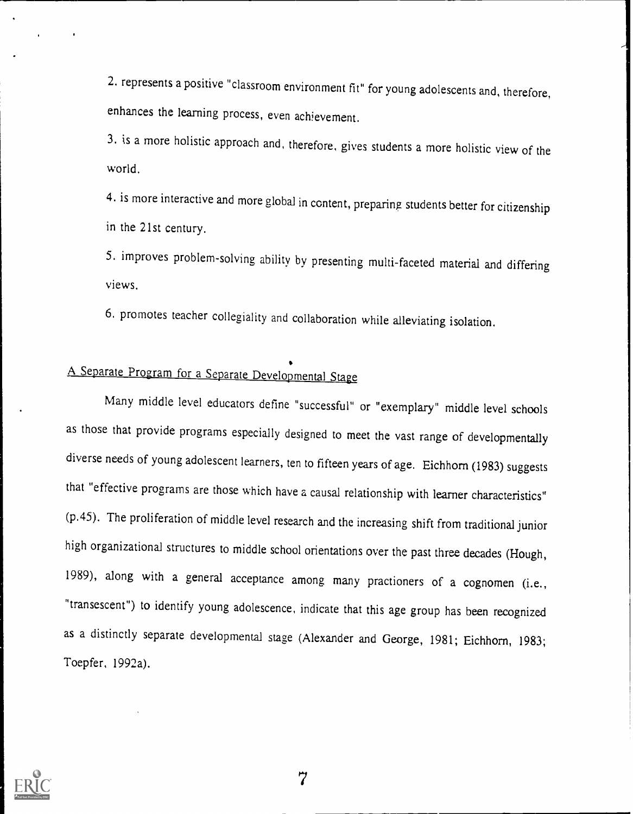2. represents a positive "classroom environment fit" for young adolescents and, therefore, enhances the learning process, even achievement.

3. is a more holistic approach and, therefore, gives students a more holistic view of the world.

4. is more interactive and more global in content, preparing students better for citizenship in the 21st century.

5. improves problem-solving ability by presenting multi-faceted material and differing views.

6. promotes teacher collegiality and collaboration while alleviating isolation.

## A Separate Program for a Separate Developmental Stage

Many middle level educators define "successful" or "exemplary" middle level schools as those that provide programs especially designed to meet the vast range of developmentally diverse needs of young adolescent learners, ten to fifteen years of age. Eichhorn (1983) suggests that "effective programs are those which have a causal relationship with learner characteristics" (p.45). The proliferation of middle level research and the increasing shift from traditional junior high organizational structures to middle school orientations over the past three decades (Hough, 1989), along with a general acceptance among many practioners of a cognomen (i.e., "transescent") to identify young adolescence, indicate that this age group has been recognized as a distinctly separate developmental stage (Alexander and George, 1981; Eichhorn, 1983; Toepfer, 1992a).

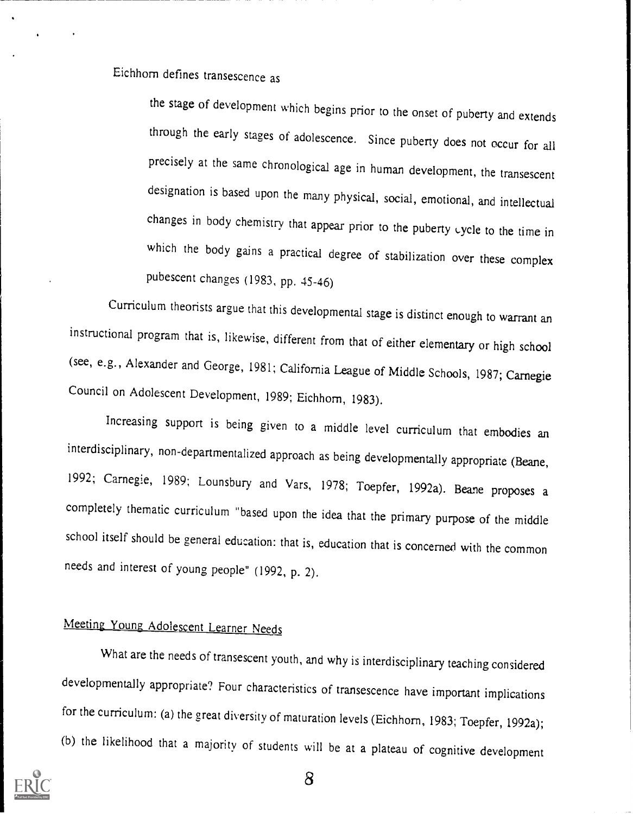Eichhorn defines transescence as

the stage of development which begins prior to the onset of puberty and extends through the early stages of adolescence. Since puberty does not occur for all precisely at the same chronological age in human development, the transescent designation is based upon the many physical, social, emotional, and intellectual changes in body chemistry that appear prior to the puberty cycle to the time in which the body gains a practical degree of stabilization over these complex pubescent changes (1983, pp. 45-46)

Curriculum theorists argue that this developmental stage is distinct enough to warrant an instructional program that is, likewise, different from that of either elementary or high school (see, e.g., Alexander and George, 1981; California League of Middle Schools, 1987; Carnegie Council on Adolescent Development, 1989; Eichhorn, 1983).

Increasing support is being given to a middle level curriculum that embodies an interdisciplinary, non-departmentalized approach as being developmentally appropriate (Beane, 1992; Carnegie, 1989; Lounsbury and Vars, 1978; Toepfer, 1992a). Beane proposes a completely thematic curriculum "based upon the idea that the primary purpose of the middle school itself should be general education: that is, education that is concerned with the common needs and interest of young people" (1992, p. 2).

## Meeting Young Adolescent Learner Needs

What are the needs of transescent youth, and why is interdisciplinary teaching considered developmentally appropriate? Four characteristics of transescence have important implications for the curriculum: (a) the great diversity of maturation levels (Eichhorn, 1983; Toepfer, 1992a); (b) the likelihood that a majority of students will be at a plateau of cognitive development

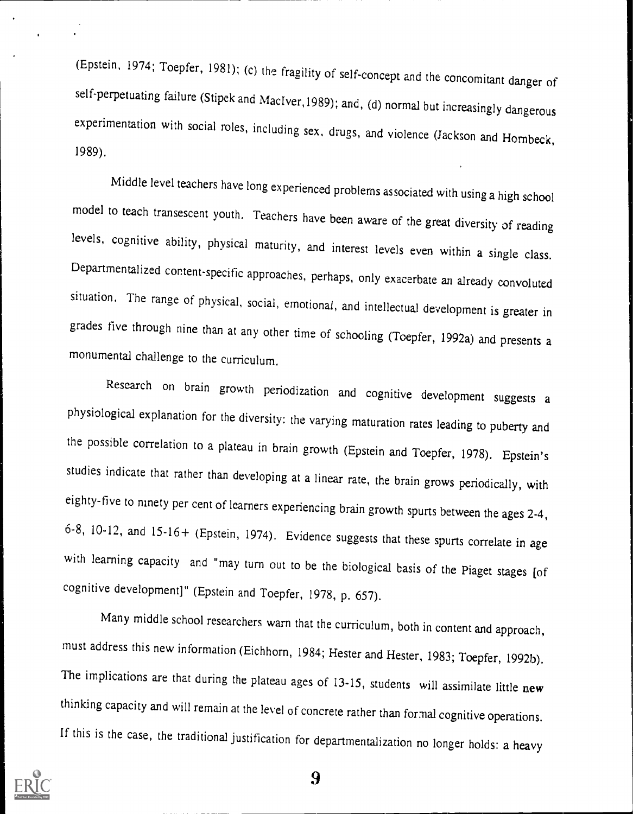(Epstein, 1974; Toepfer, 1981); (c) the fragility of self-concept and the concomitant danger of self-perpetuating failure (Stipek and MacIver,1989); and, (d) normal but increasingly dangerous experimentation with social roles, including sex, drugs, and violence (Jackson and Hornbeck, 1989).

Middle level teachers have long experienced problems associated with using a high school model to teach transescent youth, Teachers have been aware of the great diversity of reading levels, cognitive ability, physical maturity, and interest levels even within a single class. Departmentalized content-specific approaches, perhaps, only exacerbate an already convoluted situation. The range of physical, social, emotional, and intellectual development is greater in grades five through nine than at any other time of schooling (Toepfer, 1992a) and presents a monumental challenge to the curriculum.

Research on brain growth periodization and cognitive development suggests a physiological explanation for the diversity: the varying maturation rates leading to puberty and the possible correlation to a plateau in brain growth (Epstein and Toepfer, 1978). Epstein's studies indicate that rather than developing at a linear rate, the brain grows periodically, with eighty-five to ninety per cent of learners experiencing brain growth spurts between the ages 2-4, 6-8, 10-12, and 15-16+ (Epstein, 1974). Evidence suggests that these spurts correlate in age with learning capacity and "may turn out to be the biological basis of the Piaget stages [of cognitive development]" (Epstein and Toepfer, 1978, p. 657).

Many middle school researchers warn that the curriculum, both in content and approach, must address this new information (Eichhorn, 1984; Hester and Hester, 1983; Toepfer, 1992b). The implications are that during the plateau ages of 13-15, students will assimilate little new thinking capacity and will remain at the level of concrete rather than formal cognitive operations. If this is the case, the traditional justification for departmentalization no longer holds: a heavy

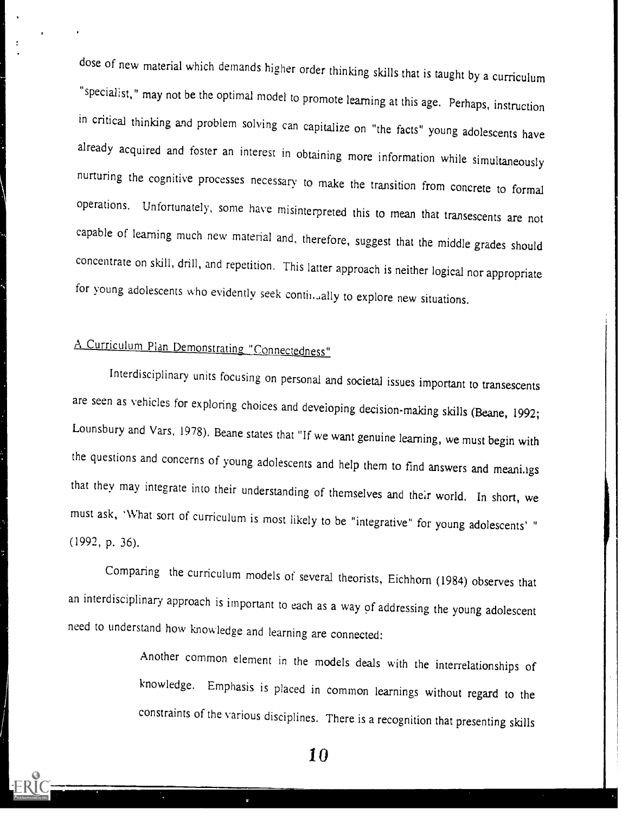dose of new material which demands higher order thinking skills that is taught by a curriculum "specialist," may not be the optimal model to promote learning at this age. Perhaps, instruction in critical thinking and problem solving can capitalize on "the facts" young adolescents have already acquired and foster an interest in obtaining more information while simultaneously nurturing the cognitive processes necessary to make the transition from concrete to formal operations. Unfortunately, some have misinterpreted this to mean that transescents are not capable of learning much new material and, therefore, suggest that the middle grades should concentrate on skill, drill, and repetition. This latter approach is neither logical nor appropriate for young adolescents who evidently seek continually to explore new situations.

## A Curriculum Plan Demonstrating, "Connectedness"

Interdisciplinary units focusing on personal and societal issues important to transescents are seen as vehicles for exploring choices and developing decision-making skills (Beane, 1992; Lounsbury and Vars, 1978). Beane states that "If we want genuine learning, we must begin with the questions and concerns of young adolescents and help them to find answers and meanings that they may integrate into their understanding of themselves and their world. In short, we must ask, 'What sort of curriculum is most likely to be "integrative" for young adolescents' " (1992, p. 36).

Comparing the curriculum models of several theorists, Eichhorn (1984) observes that an interdisciplinary approach is important to each as a way of addressing the young adolescent need to understand how knowledge and learning are connected:

> Another common element in the models deals with the interrelationships of knowledge. Emphasis is placed in common learnings without regard to the constraints of the various disciplines. There is a recognition that presenting skills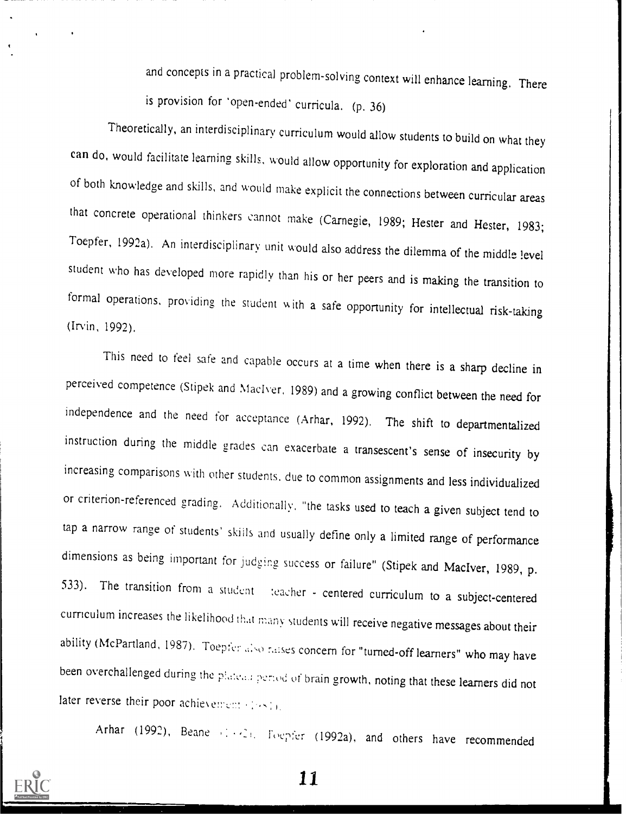and concepts in a practical problem-solving context will enhance learning. There is provision for 'open-ended' curricula, (p. 36)

Theoretically, an interdisciplinary curriculum would allow students to build on what they can do, would facilitate learning skills, would allow opportunity for exploration and application of both knowledge and skills, and would make explicit the connections between curricular areas that concrete operational thinkers cannot make (Carnegie, 1989; Hester and Hester, 1983; Toepfer, 1992a), An interdisciplinary unit would also address the dilemma of the middle level student who has developed more rapidly than his or her peers and is making the transition to formal operations, providing the student w ith a safe opportunity for intellectual risk-taking (Irvin, 1992).

This need to feel safe and capable occurs at a time when there is a sharp decline in perceived competence (Stipek and Maclver, 1989) and a growing conflict between the need for independence and the need for acceptance (Arhar, 1992). The shift to departmentalized instruction during the middle grades can exacerbate a transescent's sense of insecurity by increasing comparisons with other students, due to common assignments and less individualized or criterion-referenced grading. Additionally, "the tasks used to teach a given subject tend to tap a narrow range of students' skills and usually define only a limited range of performance dimensions as being important for judging success or failure" (Stipek and MacIver, 1989, p. 533). The transition from a student teacher - centered curriculum to a subject-centered curriculum increases the likelihood that manv students will receive negative messages about their ability (McPartland, 1987). Toepfer also raises concern for "turned-off learners" who may have been overchallenged during the plateau period of brain growth, noting that these learners did not later reverse their poor achievement (1981).

Arhar (1992), Beane (1991, Foepfer (1992a), and others have recommended

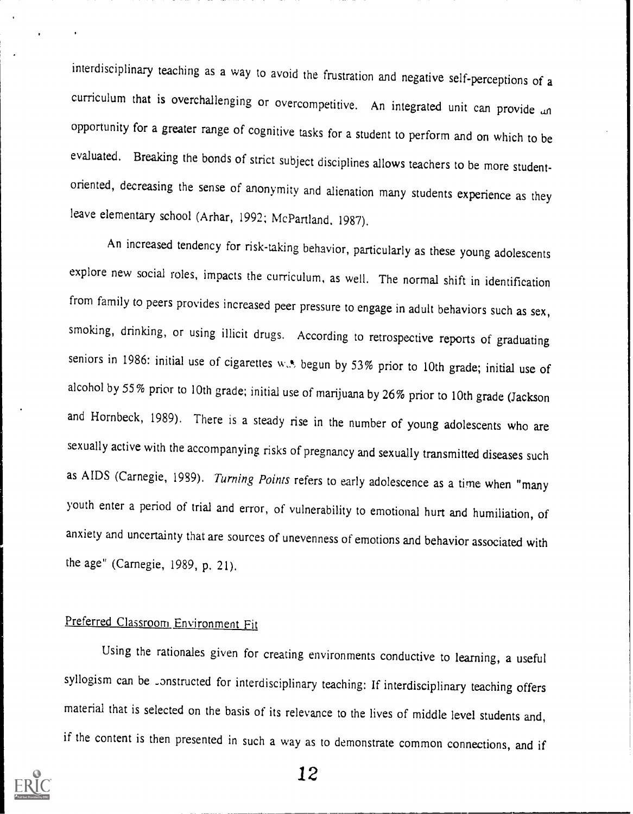interdisciplinary teaching as a way to avoid the frustration and negative self-perceptions of a curriculum that is overchallenging or overcompetitive. An integrated unit can provide an opportunity for a greater range of cognitive tasks for a student to perform and on which to be evaluated. Breaking the bonds of strict subject disciplines allows teachers to be more studentoriented, decreasing the sense of anonymity and alienation many students experience as they leave elementary school (Arhar, 1992; McPartland, 1987).

An increased tendency for risk-taking behavior, particularly as these young adolescents explore new social roles, impacts the curriculum, as well. The normal shift in identification from family to peers provides increased peer pressure to engage in adult behaviors such as sex, smoking, drinking, or using illicit drugs. According to retrospective reports of graduating seniors in 1986: initial use of cigarettes w... begun by 53% prior to 10th grade; initial use of alcohol by 55% prior to 10th grade; initial use of marijuana by 26% prior to 10th grade (Jackson and Hornbeck, 1989). There is a steady rise in the number of young adolescents who are sexually active with the accompanying risks of pregnancy and sexually transmitted diseases such as AIDS (Carnegie, 1989). Turning Points refers to early adolescence as a time when "many youth enter a period of trial and error, of vulnerability to emotional hurt and humiliation, of anxiety and uncertainty that are sources of unevenness of emotions and behavior associated with the age" (Carnegie, 1989, p. 21).

#### Preferred Classroom Environment Fit

Using the rationales given for creating environments conductive to learning, a useful syllogism can be constructed for interdisciplinary teaching: If interdisciplinary teaching offers material that is selected on the basis of its relevance to the lives of middle level students and, if the content is then presented in such a way as to demonstrate common connections, and if

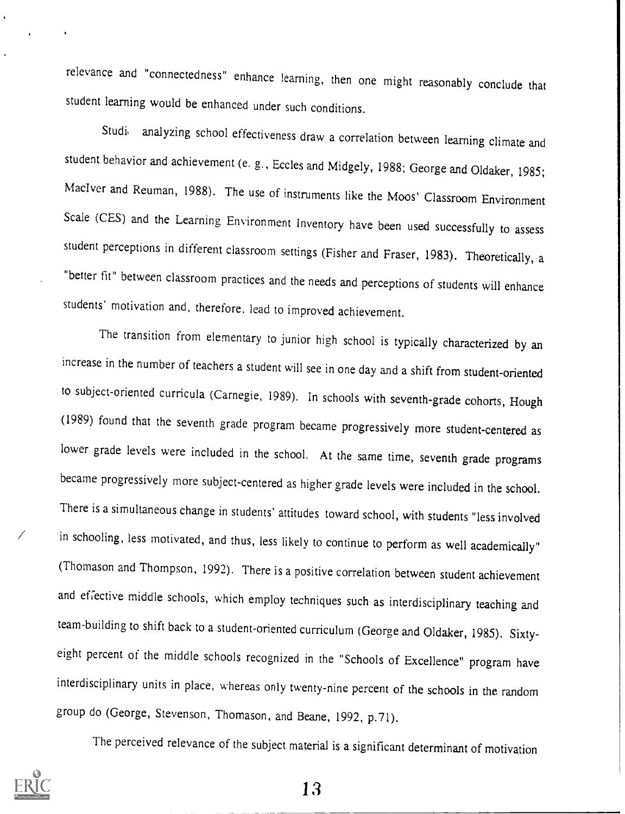relevance and "connectedness" enhance learning, then one might reasonably conclude that student learning would be enhanced under such conditions.

Studi, analyzing school effectiveness draw a correlation between learning climate and student behavior and achievement (e. g., Eccles and Midgely, 1988; George and Oldaker, 1985; MacIver and Reuman, 1988). The use of instruments like the Moos' Classroom Environment Scale (CES) and the Learning Environment Inventory have been used successfully to assess student perceptions in different classroom settings (Fisher and Fraser, 1983). Theoretically, a "better fit" between classroom practices and the needs and perceptions of students will enhance students' motivation and, therefore, lead to improved achievement.

The transition from elementary to junior high school is typically characterized by an increase in the number of teachers a student will see in one day and a shift from student-oriented to subject-oriented curricula (Carnegie, 1989). In schools with seventh-grade cohorts, Hough (1989) found that the seventh grade program became progressively more student-centered as lower grade levels were included in the school. At the same time, seventh grade programs became progressively more subject-centered as higher grade levels were included in the school. There is a simultaneous change in students' attitudes toward school, with students "less involved in schooling, less motivated, and thus, less likely to continue to perform as well academically" (Thomason and Thompson, 1992). There is a positive correlation between student achievement and effective middle schools, which employ techniques such as interdisciplinary teaching and team-building to shift back to a student-oriented curriculum (George and Oldaker, 1985). Sixtyeight percent of the middle schools recognized in the "Schools of Excellence" program have interdisciplinary units in place, whereas only twenty-nine percent of the schools in the random group do (George, Stevenson, Thomason, and Beane, 1992, p.71).

The perceived relevance of the subject material is a significant determinant of motivation

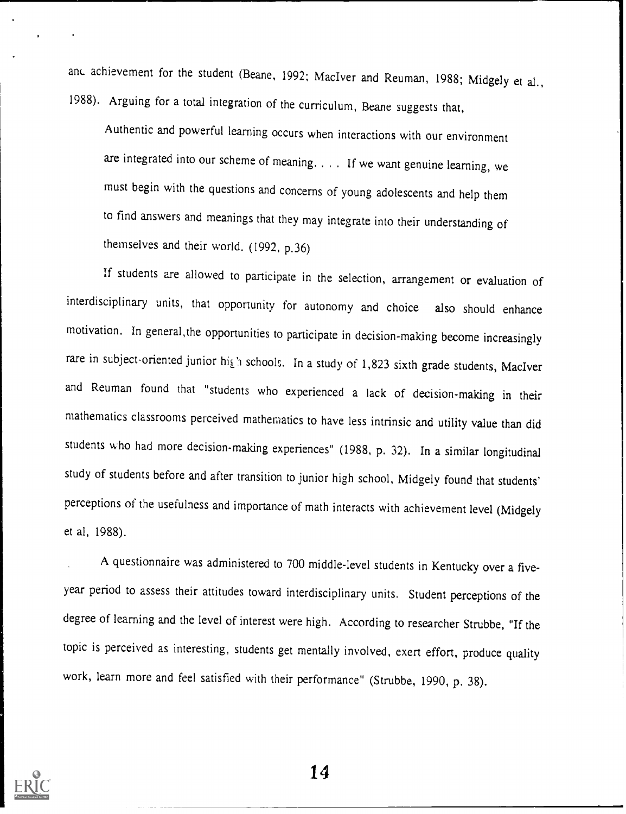and achievement for the student (Beane, 1992; MacIver and Reuman, 1988; Midgely et al., 1988). Arguing for a total integration of the curriculum, Beane suggests that,

Authentic and powerful learning occurs when interactions with our environment are integrated into our scheme of meaning. . If we want genuine learning, we must begin with the questions and concerns of young adolescents and help them to find answers and meanings that they may integrate into their understanding of themselves and their world. (1992, p.36)

If students are allowed to participate in the selection, arrangement or evaluation of interdisciplinary units, that opportunity for autonomy and choice also should enhance motivation. In general,the opportunities to participate in decision-making become increasingly rare in subject-oriented junior high schools. In a study of 1,823 sixth grade students, MacIver and Reuman found that "students who experienced a lack of decision-making in their mathematics classrooms perceived mathematics to have less intrinsic and utility value than did students who had more decision-making experiences" (1988, p. 32). In a similar longitudinal study of students before and after transition to junior high school, Midgely found that students' perceptions of the usefulness and importance of math interacts with achievement level (Midgely et al, 1988).

A questionnaire was administered to 700 middle-level students in Kentucky over a fiveyear period to assess their attitudes toward interdisciplinary units. Student perceptions of the degree of learning and the level of interest were high. According to researcher Strubbe, "If the topic is perceived as interesting, students get mentally involved, exert effort, produce quality work, learn more and feel satisfied with their performance" (Strubbe, 1990, p. 38).

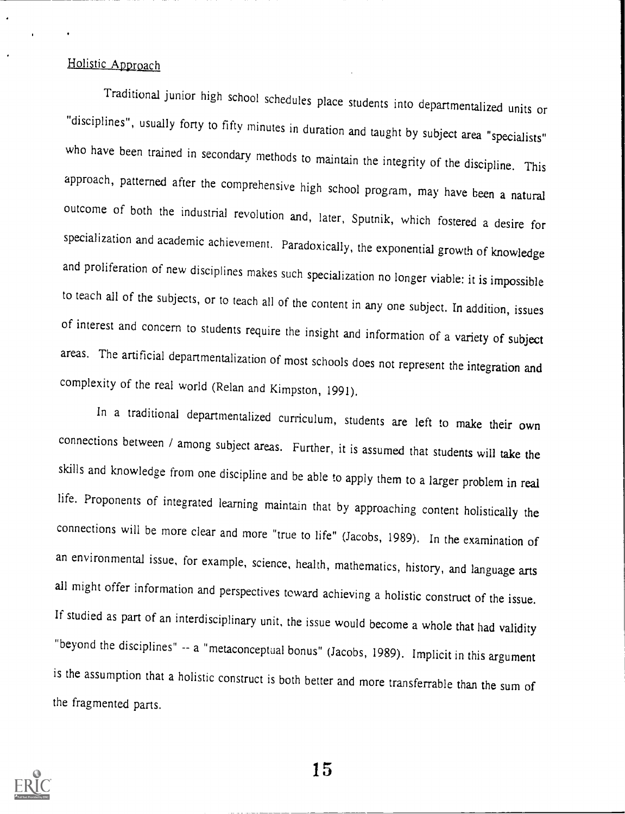#### Holistic Approach

Traditional junior high school schedules place students into departmentalized units or "disciplines", usually forty to fifty minutes in duration and taught by subject area "specialists" who have been trained in secondary methods to maintain the integrity of the discipline. This approach, patterned after the comprehensive high school program, may have been a natural outcome of both the industrial revolution and, later, Sputnik, which fostered a desire for specialization and academic achievement. Paradoxically, the exponential growth of knowledge and proliferation of new disciplines makes such specialization no longer viable: it is impossible to teach all of the subjects, or to teach all of the content in any one subject. In addition, issues of interest and concern to students require the insight and information of a variety of subject areas. The artificial departmentalization of most schools does not represent the integration and complexity of the real world (Relan and Kimpston, 1991).

In a traditional departmentalized curriculum, students are left to make their own connections between / among subject areas. Further, it is assumed that students will take the skills and knowledge from one discipline and be able to apply them to a larger problem in real life. Proponents of integrated learning maintain that by approaching content holistically the connections will be more clear and more "true to life" (Jacobs, 1989). In the examination of an environmental issue, for example, science, health, mathematics, history, and language arts all might offer information and perspectives toward achieving a holistic construct of the issue. If studied as part of an interdisciplinary unit, the issue would become a whole that had validity "beyond the disciplines" -- a "metaconceptual bonus" (Jacobs, 1989). Implicit in this argument is the assumption that a holistic construct is both better and more transferrable than the sum of the fragmented parts.

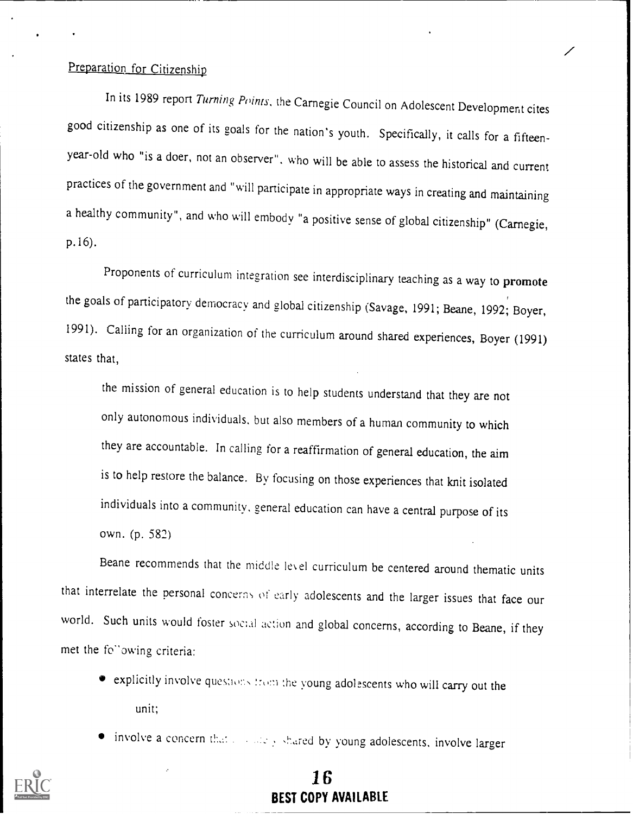#### Preparation for Citizenship

In its 1989 report Turning Points, the Carnegie Council on Adolescent Development cites good citizenship as one of its goals for the nation's youth. Specifically, it calls for a fifteenyear-old who "is a doer, not an observer", who will be able to assess the historical and current practices of the government and "will participate in appropriate ways in creating and maintaining a healthy community", and who will embody "a positive sense of global citizenship" (Carnegie, p.16).

Proponents of curriculum integration see interdisciplinary teaching as a way to promote the goals of participatory democracy and global citizenship (Savage, 1991; Beane, 1992; Boyer, 1991). Calling for an organization of the curriculum around shared experiences, Boyer (1991) states that,

the mission of general education is to help students understand that they are not only autonomous individuals, but also members of a human community to which they are accountable. In calling for a reaffirmation of general education, the aim is to help restore the balance. By focusing on those experiences that knit isolated individuals into a community, general education can have a central purpose of its own. (p. 582)

Beane recommends that the middle le\ el curriculum be centered around thematic units that interrelate the personal concerns of early adolescents and the larger issues that face our world. Such units would foster social action and global concerns, according to Beane, if they met the fo<sup>o</sup>owing criteria:

- explicitly involve questions from the young adolescents who will carry out the unit;
- involve a concern that  $x = \log y$  shared by young adolescents, involve larger



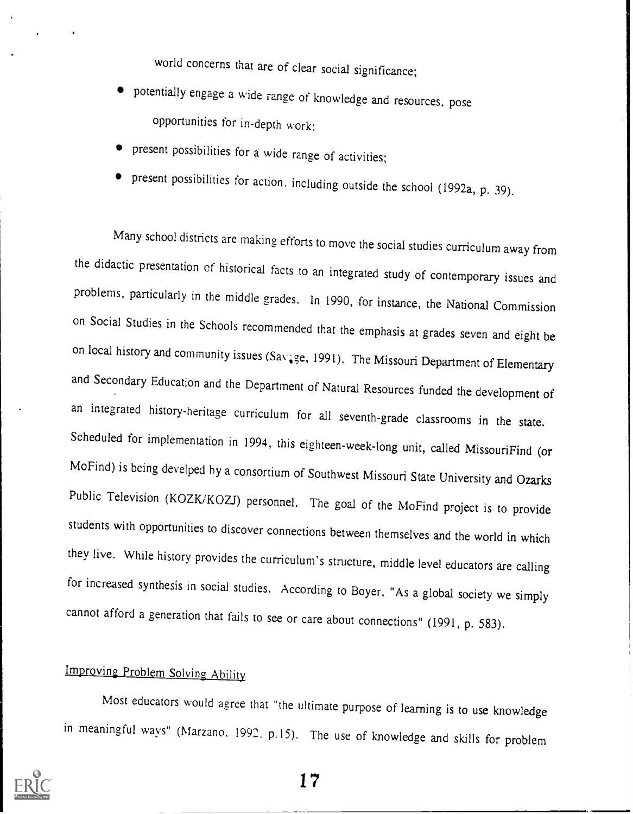world concerns that are of clear social significance;

- potentially engage a wide range of knowledge and resources, pose opportunities for in-depth work:
- present possibilities for a wide range of activities;
- present possibilities for action, including outside the school (1992a, p. 39).

Many school districts are making efforts to move the social studies curriculum away from the didactic presentation of historical facts to an integrated study of contemporary issues and problems, particularly in the middle grades. In 1990, for instance, the National Commission on Social Studies in the Schools recommended that the emphasis at grades seven and eight be on local history and community issues (Savage, 1991). The Missouri Department of Elementary and Secondary Education and the Department of Natural Resources funded the development of an integrated history-heritage curriculum for all seventh-grade classrooms in the state. Scheduled for implementation in 1994, this eighteen-week-long unit, called MissouriFind (or MoFind) is being develped by a consortium of Southwest Missouri State University and Ozarks Public Television (KOZK/KOZJ) personnel. The goal of the MoFind project is to provide students with opportunities to discover connections between themselves and the world in which they live. While history provides the curriculum's structure, middle level educators are calling for increased synthesis in social studies. According to Boyer, "As a global society we simply cannot afford a generation that fails to see or care about connections" (1991, p. 583).

## Improving Problem Solving Ability

Most educators would agree that "the ultimate purpose of learning is to use knowledge in meaningful ways" (Marzano, 1992. p.15). The use of knowledge and skills for problem

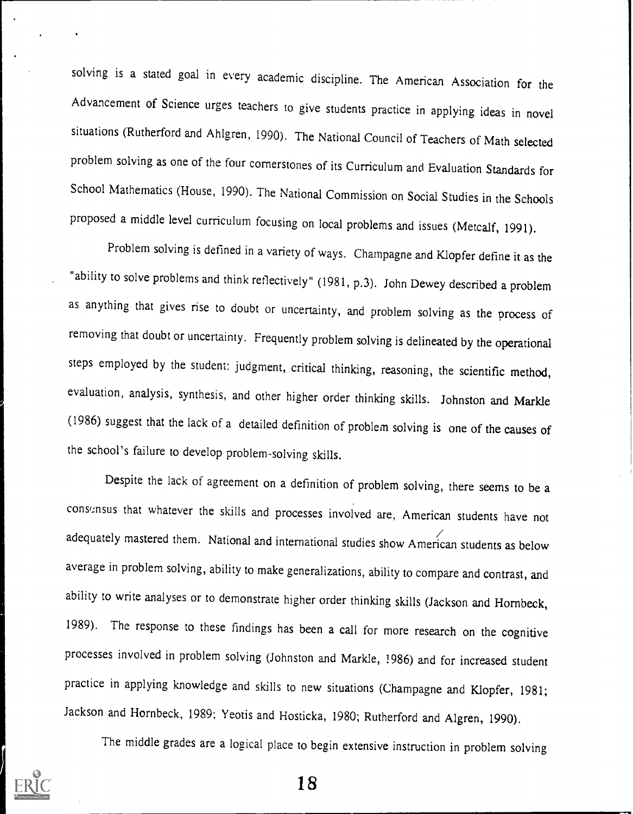solving is a stated goal in every academic discipline. The American Association for the Advancement of Science urges teachers to give students practice in applying ideas in novel situations (Rutherford and Ahlgren, 1990). The National Council of Teachers of Math selected problem solving as one of the four cornerstones of its Curriculum and Evaluation Standards for School Mathematics (House, 1990). The National Commission on Social Studies in the Schools proposed a middle level curriculum focusing on local problems and issues (Metcalf, 1991).

Problem solving is defined in a variety of ways. Champagne and Klopfer define it as the "ability to solve problems and think reflectively" (1981, p.3). John Dewey described a problem as anything that gives rise to doubt or uncertainty, and problem solving as the process of removing that doubt or uncertainty. Frequently problem solving is delineated by the operational steps employed by the student: judgment, critical thinking, reasoning, the scientific method, evaluation, analysis, synthesis, and other higher order thinking skills. Johnston and Markle (1986) suggest that the lack of a detailed definition of problem solving is one of the causes of the school's failure to develop problem-solving skills.

Despite the lack of agreement on a definition of problem solving, there seems to be a consous that whatever the skills and processes involved are, American students have not adequately mastered them. National and international studies show American students as below average in problem solving, ability to make generalizations, ability to compare and contrast, and ability to write analyses or to demonstrate higher order thinking skills (Jackson and Hornbeck, 1989). The response to these findings has been a call for more research on the cognitive processes involved in problem solving (Johnston and Markle, 1986) and for increased student practice in applying knowledge and skills to new situations (Champagne and Klopfer, 1981; Jackson and Hornbeck, 1989; Yeotis and Hosticka, 1980; Rutherford and Algren, 1990).

The middle grades are a logical place to begin extensive instruction in problem solving

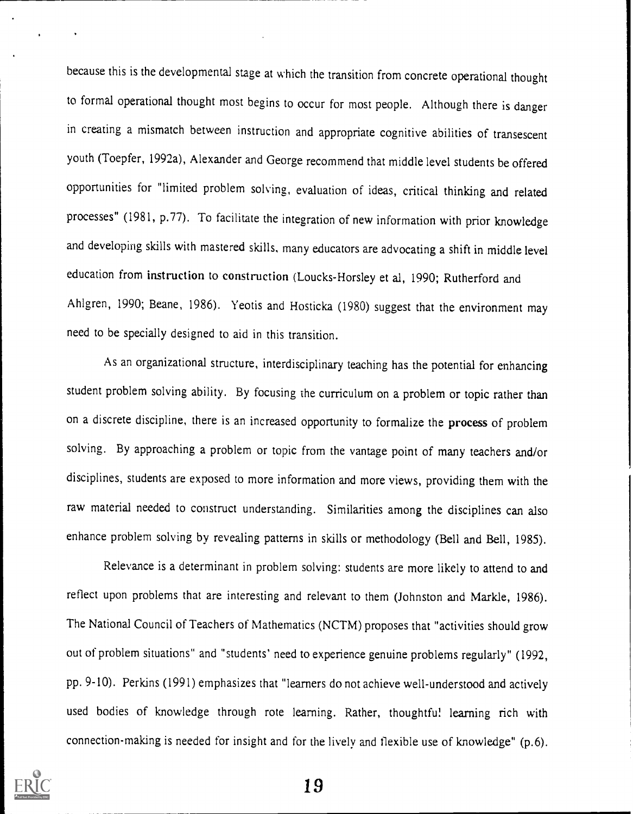because this is the developmental stage at which the transition from concrete operational thought to formal operational thought most begins to occur for most people. Although there is danger in creating a mismatch between instruction and appropriate cognitive abilities of transescent youth (Toepfer, 1992a), Alexander and George recommend that middle level students be offered opportunities for "limited problem solving, evaluation of ideas, critical thinking and related processes" (1981, p.77). To facilitate the integration of new information with prior knowledge and developing skills with mastered skills, many educators are advocating a shift in middle level education from instruction to construction (Loucks-Horsley et al, 1990; Rutherford and Ahlgren, 1990; Beane, 1986). Yeotis and Hosticka (1980) suggest that the environment may need to be specially designed to aid in this transition.

As an organizational structure, interdisciplinary teaching has the potential for enhancing student problem solving ability. By focusing the curriculum on a problem or topic rather than on a discrete discipline, there is an increased opportunity to formalize the process of problem solving. By approaching a problem or topic from the vantage point of many teachers and/or disciplines, students are exposed to more information and more views, providing them with the raw material needed to construct understanding. Similarities among the disciplines can also enhance problem solving by revealing patterns in skills or methodology (Bell and Bell, 1985).

Relevance is a determinant in problem solving: students are more likely to attend to and reflect upon problems that are interesting and relevant to them (Johnston and Markle, 1986). The National Council of Teachers of Mathematics (NCTM) proposes that "activities should grow out of problem situations" and "students' need to experience genuine problems regularly" (1992, pp. 9-10). Perkins (1991) emphasizes that "learners do not achieve well-understood and actively used bodies of knowledge through rote learning. Rather, thoughtful learning rich with connection-making is needed for insight and for the lively and flexible use of knowledge" (p.6).

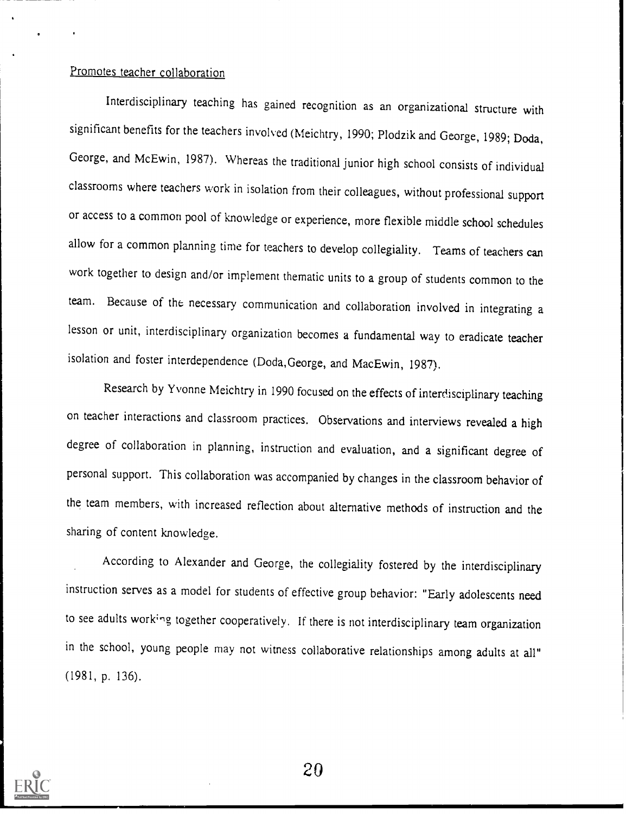#### Promotes teacher collaboration

Interdisciplinary teaching has gained recognition as an organizational structure with significant benefits for the teachers involved (Meichtry, 1990; Plodzik and George, 1989; Dada, George, and McEwin, 1987). Whereas the traditional junior high school consists of individual classrooms where teachers work in isolation from their colleagues, without professional support or access to a common pool of knowledge or experience, more flexible middle school schedules allow for a common planning time for teachers to develop collegiality. Teams of teachers can work together to design and/or implement thematic units to a group of students common to the team. Because of the necessary communication and collaboration involved in integrating <sup>a</sup> lesson or unit, interdisciplinary organization becomes a fundamental way to eradicate teacher isolation and foster interdependence (Doda,George, and MacEwin, 1987).

Research by Yvonne Meichtry in 1990 focused on the effects of interdisciplinary teaching on teacher interactions and classroom practices. Observations and interviews revealed a high degree of collaboration in planning, instruction and evaluation, and a significant degree of personal support. This collaboration was accompanied by changes in the classroom behavior of the team members, with increased reflection about alternative methods of instruction and the sharing of content knowledge.

According to Alexander and George, the collegiality fostered by the interdisciplinary instruction serves as a model for students of effective group behavior: "Early adolescents need to see adults work'ng together cooperatively. If there is not interdisciplinary team organization in the school, young people may not witness collaborative relationships among adults at all" (1981, p. 136).

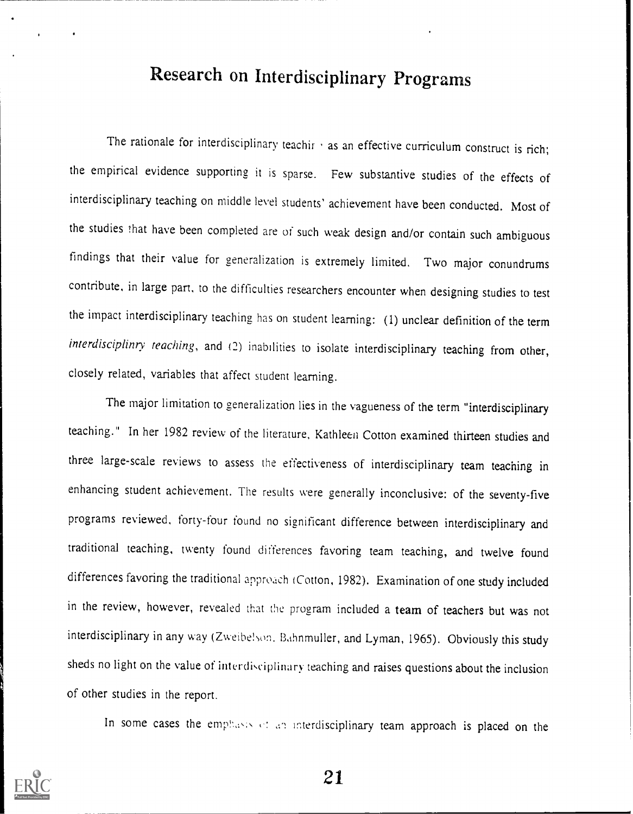## Research on Interdisciplinary Programs

The rationale for interdisciplinary teachir  $\cdot$  as an effective curriculum construct is rich; the empirical evidence supporting it is sparse. Few substantive studies of the effects of interdisciplinary teaching on middle level students' achievement have been conducted. Most of the studies that have been completed are of such weak design and/or contain such ambiguous findings that their value for generalization is extremely limited. Two major conundrums contribute, in large part, to the difficulties researchers encounter when designing studies to test the impact interdisciplinary teaching has on student learning: (1) unclear definition of the term interdisciplinry teaching, and (2) inabilities to isolate interdisciplinary teaching from other, closely related, variables that affect student learning.

The major limitation to generalization lies in the vagueness of the term "interdisciplinary teaching." In her 1982 review of the literature, Kathleen Cotton examined thirteen studies and three large-scale reviews to assess the effectiveness of interdisciplinary team teaching in enhancing student achievement. The results were generally inconclusive: of the seventy-five programs reviewed, forty-four found no significant difference between interdisciplinary and traditional teaching, twenty found differences favoring team teaching, and twelve found differences favoring the traditional approach (Cotton, 1982). Examination of one study included in the review, however, revealed that the program included a team of teachers but was not interdisciplinary in any way (Zweibelson, Bahnmuller, and Lyman, 1965). Obviously this study sheds no light on the value of interdisciplinary teaching and raises questions about the inclusion of other studies in the report.

In some cases the emphasis of an interdisciplinary team approach is placed on the

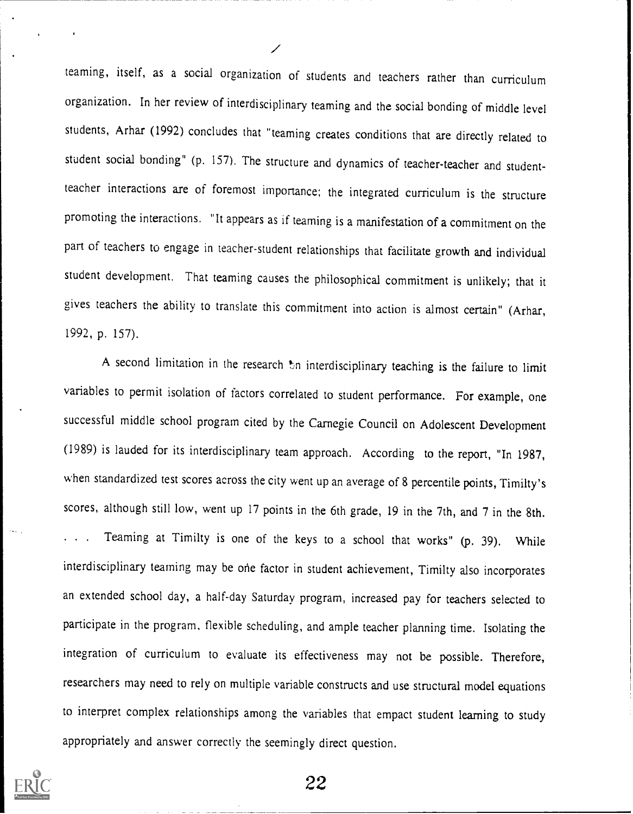teaming, itself, as a social organization of students and teachers rather than curriculum organization. In her review of interdisciplinary teaming and the social bonding of middle level students, Arhar (1992) concludes that "teaming creates conditions that are directly related to student social bonding" (p. 157). The structure and dynamics of teacher-teacher and studentteacher interactions are of foremost importance; the integrated curriculum is the structure promoting the interactions. "It appears as if teaming is a manifestation of a commitment on the part of teachers to engage in teacher-student relationships that facilitate growth and individual student development. That teaming causes the philosophical commitment is unlikely; that it gives teachers the ability to translate this commitment into action is almost certain" (Arhar, 1992, p. 157).

A second limitation in the research on interdisciplinary teaching is the failure to limit variables to permit isolation of factors correlated to student performance. For example, one successful middle school program cited by the Carnegie Council on Adolescent Development (1989) is lauded for its interdisciplinary team approach. According to the report, "In 1987, when standardized test scores across the city went up an average of 8 percentile points, Timilty's scores, although still low, went up 17 points in the 6th grade, 19 in the 7th, and 7 in the 8th. . Teaming at Timilty is one of the keys to a school that works" (p. 39). While interdisciplinary teaming may be one factor in student achievement, Timilty also incorporates an extended school day, a half-day Saturday program, increased pay for teachers selected to participate in the program, flexible scheduling, and ample teacher planning time. Isolating the integration of curriculum to evaluate its effectiveness may not be possible. Therefore, researchers may need to rely on multiple variable constructs and use structural model equations to interpret complex relationships among the variables that empact student learning to study appropriately and answer correctly the seemingly direct question.

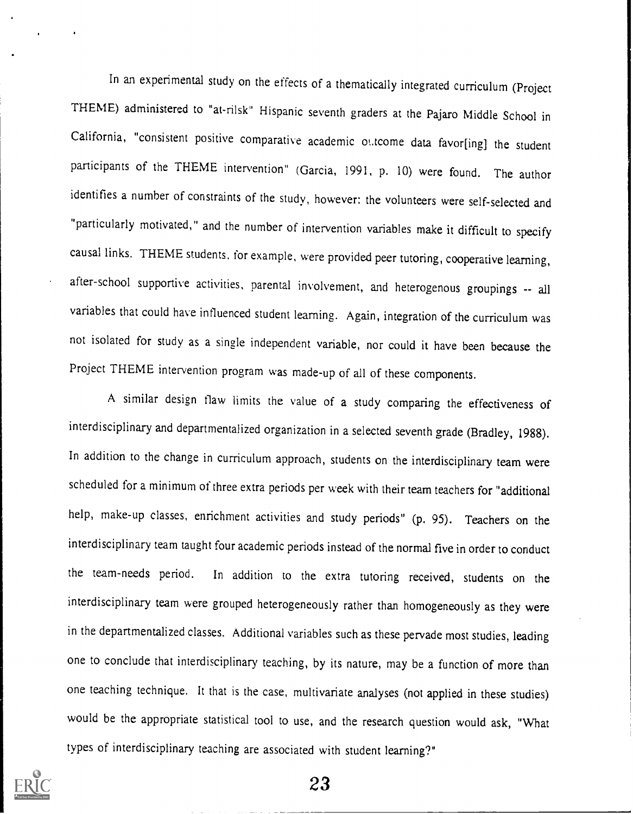In an experimental study on the effects of a thematically integrated curriculum (Project THEME) administered to "at-rilsk" Hispanic seventh graders at the Pajaro Middle School in California, "consistent positive comparative academic ottcome data favor[ing] the student participants of the THEME intervention" (Garcia, 1991, P. 10) were found. The author identifies a number of constraints of the study, however: the volunteers were self-selected and "particularly motivated," and the number of intervention variables make it difficult to specify causal links. THEME students, for example, were provided peer tutoring, cooperative learning, after-school supportive activities, parental involvement, and heterogenous groupings -- all variables that could have influenced student learning. Again, integration of the curriculum was not isolated for study as a single independent variable, nor could it have been because the Project THEME intervention program was made-up of all of these components.

A similar design flaw limits the value of a study comparing the effectiveness of interdisciplinary and departmentalized organization in a selected seventh grade (Bradley, 1988). In addition to the change in curriculum approach, students on the interdisciplinary team were scheduled for a minimum of three extra periods per week with their team teachers for "additional help, make-up classes, enrichment activities and study periods" (p. 95). Teachers on the interdisciplinary team taught four academic periods instead of the normal five in order to conduct the team-needs period. In addition to the extra tutoring received, students on the interdisciplinary team were grouped heterogeneously rather than homogeneously as they were in the departmentalized classes. Additional variables such as these pervade most studies, leading one to conclude that interdisciplinary teaching, by its nature, may be a function of more than one teaching technique. It that is the case, multivariate analyses (not applied in these studies) would be the appropriate statistical tool to use, and the research question would ask, "What types of interdisciplinary teaching are associated with student learning?"

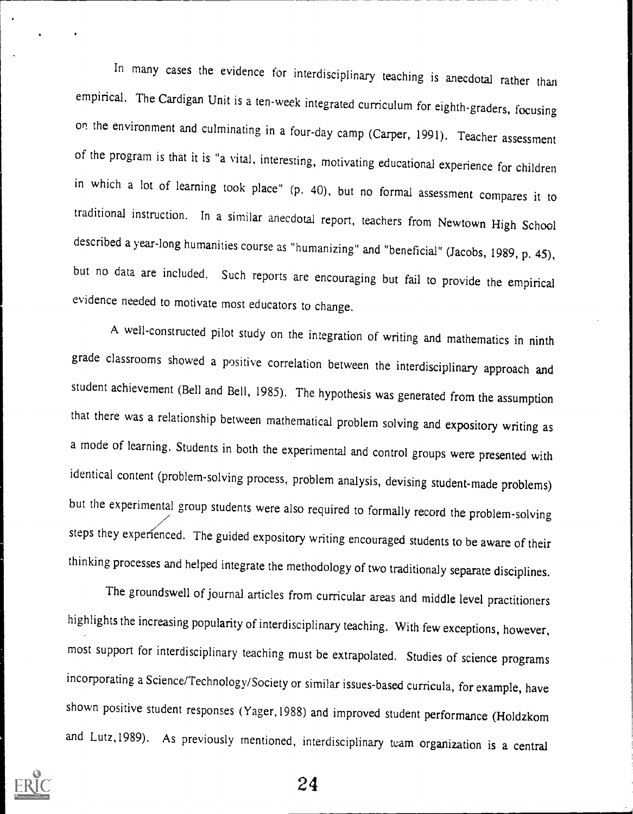In many cases the evidence for interdisciplinary teaching is anecdotal rather than empirical. The Cardigan Unit is a ten-week integrated curriculum for eighth-graders, focusing on the environment and culminating in a four-day camp (Carper, 1991). Teacher assessment of the program is that it is "a vital, interesting, motivating educational experience for children in which a lot of learning took place" (p. 40), but no formal assessment compares it to traditional instruction. In a similar anecdotal report, teachers from Newtown High School described a year-long humanities course as "humanizing" and "beneficial" (Jacobs, 1989, p. 45), but no data are included. Such reports are encouraging but fail to provide the empirical evidence needed to motivate most educators to change.

A well-constructed pilot study on the integration of writing and mathematics in ninth grade classrooms showed a positive correlation between the interdisciplinary approach and student achievement (Bell and Bell, 1985). The hypothesis was generated from the assumption that there was a relationship between mathematical problem solving and expository writing as a mode of learning. Students in both the experimental and control groups were presented with identical content (problem-solving process, problem analysis, devising student-made problems) but the experimental group students were also required to formally record the problem-solving steps they experienced. The guided expository writing encouraged students to be aware of their thinking processes and helped integrate the methodology of two traditionaly separate disciplines.

The groundswell of journal articles from curricular areas and middle level practitioners highlights the increasing popularity of interdisciplinary teaching. With few exceptions, however, most support for interdisciplinary teaching must be extrapolated. Studies of science programs incorporating a Science/Technology/Society or similar issues-based curricula, for example, have shown positive student responses (Yager,1988) and improved student performance (Holdzkom and Lutz,1989). As previously mentioned, interdisciplinary team organization is a central

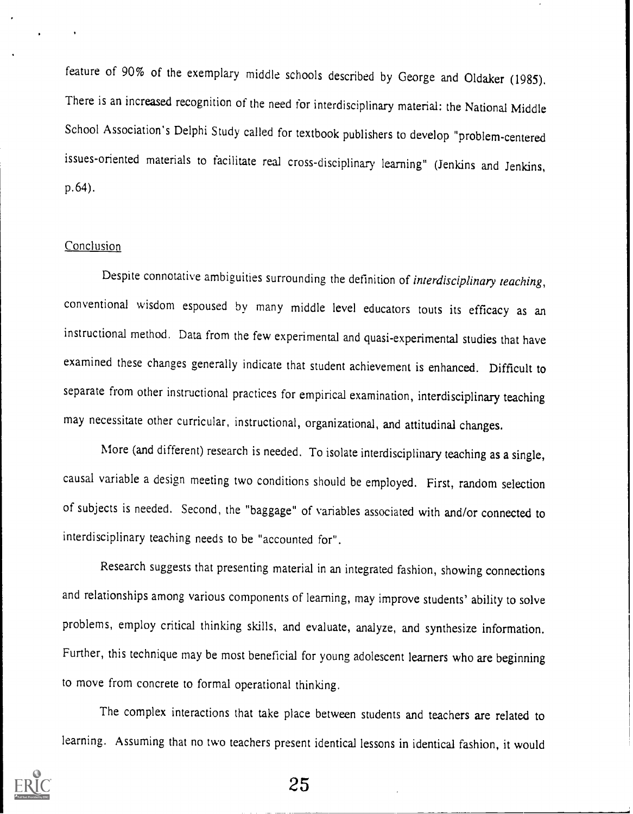feature of 90% of the exemplary middle schools described by George and Oldaker (1985). There is an increased recognition of the need for interdisciplinary material: the National Middle School Association's Delphi Study called for textbook publishers to develop "problem-centered issues-oriented materials to facilitate real cross-disciplinary learning" (Jenkins and Jenkins, p.64).

#### **Conclusion**

Despite connotative ambiguities surrounding the definition of *interdisciplinary teaching*, conventional wisdom espoused by many middle level educators touts its efficacy as an instructional method. Data from the few experimental and quasi-experimental studies that have examined these changes generally indicate that student achievement is enhanced. Difficult to separate from other instructional practices for empirical examination, interdisciplinary teaching may necessitate other curricular, instructional, organizational, and attitudinal changes.

More (and different) research is needed. To isolate interdisciplinary teaching as a single, causal variable a design meeting two conditions should be employed. First, random selection of subjects is needed. Second, the "baggage" of variables associated with and/or connected to interdisciplinary teaching needs to be "accounted for".

Research suggests that presenting material in an integrated fashion, showing connections and relationships among various components of learning, may improve students' ability to solve problems, employ critical thinking skills, and evaluate, analyze, and synthesize information. Further, this technique may be most beneficial for young adolescent learners who are beginning to move from concrete to formal operational thinking.

The complex interactions that take place between students and teachers are related to learning. Assuming that no two teachers present identical lessons in identical fashion, it would

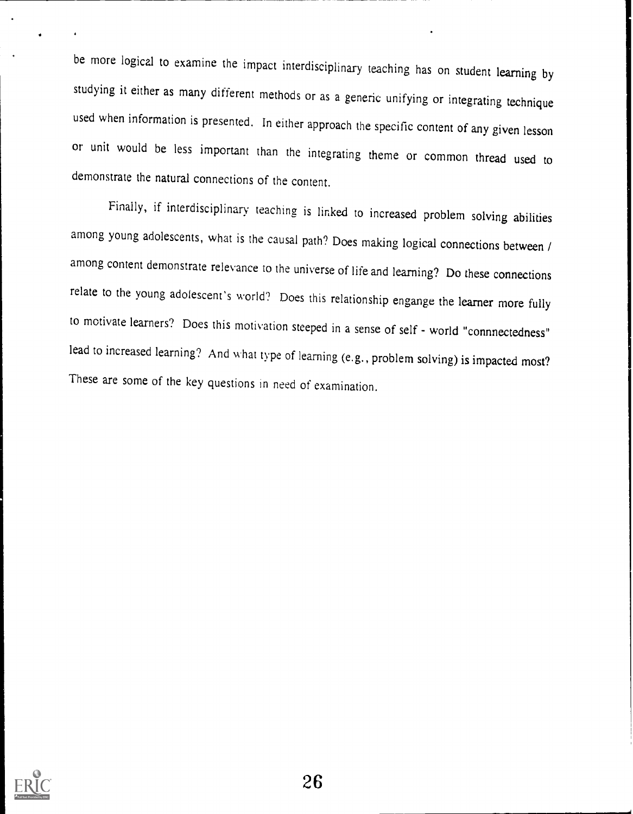be more logical to examine the impact interdisciplinary teaching has on student learning by studying it either as many different methods or as a generic unifying or integrating technique used when information is presented. In either approach the specific content of any given lesson or unit would be less important than the integrating theme or common thread used to demonstrate the natural connections of the content.

Finally, if interdisciplinary teaching is linked to increased problem solving abilities among young adolescents, what is the causal path? Does making logical connections between / among content demonstrate relevance to the universe of life and learning? Do these connections relate to the young adolescent's world? Does this relationship engange the learner more fully to motivate learners? Does this motivation steeped in a sense of self - world "connnectedness" lead to increased learning? And what type of learning (e.g., problem solving) is impacted most? These are some of the key questions in need of examination.

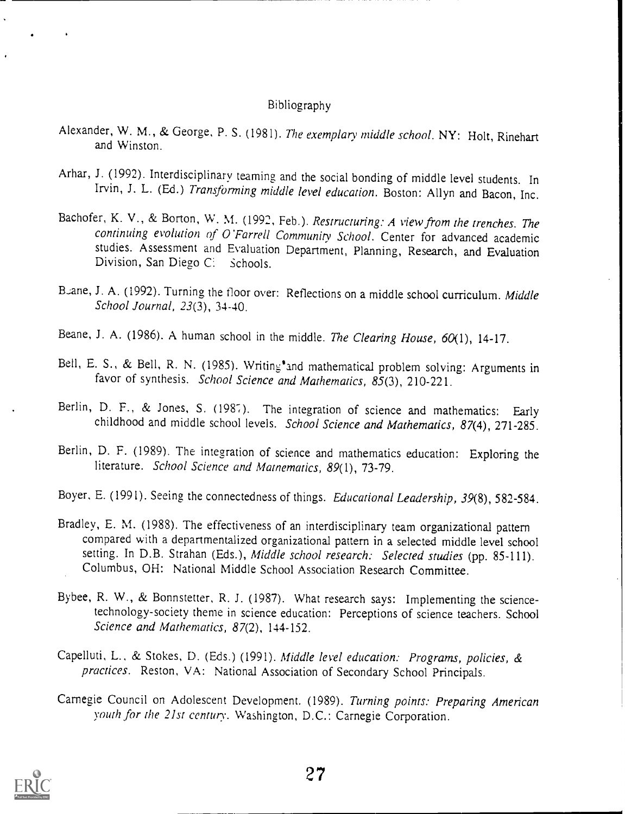#### Bibliography

- Alexander, W. M., & George, P. S. (1981). The exemplary middle school. NY: Holt, Rinehart and Winston.
- Arhar, J. (1992). Interdisciplinary teaming and the social bonding of middle level students. In Irvin, J. L. (Ed.) Transforming middle level education. Boston: Allyn and Bacon, Inc.
- Bachofer, K. V., & Borton, W. M. (1992, Feb.). Restructuring: A view from the trenches. The continuing evolution of O'Farrell Community School. Center for advanced academic studies. Assessment and Evaluation Department, Planning, Research, and Evaluation Division, San Diego C: Schools.
- Beane, J. A. (1992). Turning the floor over: Reflections on a middle school curriculum. Middle School Journal, 23(3), 34-40.
- Beane, J. A. (1986). A human school in the middle. The Clearing House,  $60(1)$ , 14-17.
- Bell, E. S., & Bell, R. N. (1985). Writing and mathematical problem solving: Arguments in favor of synthesis. School Science and Mathematics, 85(3), 210-221.
- Berlin, D. F., & Jones, S. (1987). The integration of science and mathematics: Early childhood and middle school levels. School Science and Mathematics, 87(4), 271-285.
- Berlin, D. F. (1989). The integration of science and mathematics education: Exploring the literature. School Science and Matnematics, 89(1), 73-79.
- Boyer, E. (1991). Seeing the connectedness of things. Educational Leadership, 39(8), 582-584.
- Bradley, E. M. (1988). The effectiveness of an interdisciplinary team organizational pattern compared with a departmentalized organizational pattern in a selected middle level school setting. In D.B. Strahan (Eds.), Middle school research: Selected studies (pp. 85-111). Columbus, OH: National Middle School Association Research Committee.
- Bybee, R. W., & Bonnstetter, R. J. (1987). What research says: Implementing the sciencetechnology-society theme in science education: Perceptions of science teachers. School Science and Mathematics, 87(2), 144-152.
- Capelluti, L., & Stokes, D. (Eds.) (1991). Middle level education: Programs, policies, & practices. Reston, VA: National Association of Secondary School Principals.
- Carnegie Council on Adolescent Development. (1989). Turning points: Preparing American youth for the 21st century. Washington, D.C.: Carnegie Corporation.

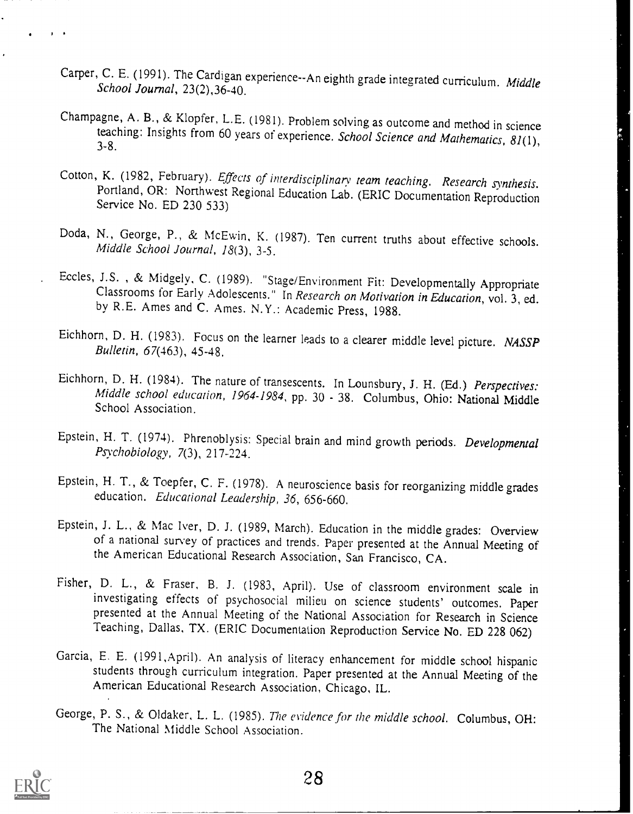- Carper, C. E. (1991). The Cardigan experience--An eighth grade integrated curriculum. Middle School Journal, 23(2),36-40.
- Champagne, A. B., & Klopfer, L.E. (1981). Problem solving as outcome and method in science teaching: Insights from 60 years of experience. School Science and Mathematics, 81(1), 3-8.
- Cotton, K. (1982, February). *Effects of interdisciplinary team teaching. Research synthesis.* Portland, OR: Northwest Regional Education Lab. (ERIC Documentation Reproduction Service No. ED 230 533)
- Doda, N., George, P., & McEwin, K. (1987). Ten current truths about effective schools. Middle School Journal, 18(3), 3-5.
- Eccles, J.S., & Midgely, C. (1989). "Stage/Environment Fit: Developmentally Appropriate<br>Classrooms for Early Adolescents." In Research on Motivation in Education, vol. 3, ed.<br>by R.E. Ames and C. Ames. N.Y.: Academic Press,
- Eichhorn, D. H. (1983). Focus on the learner leads to a clearer middle level picture. NASSP<br>Bulletin, 67(463), 45-48.
- Eichhorn, D. H. (1984). The nature of transescents. In Lounsbury, J. H. (Ed.) Perspectives:<br>Middle school education, 1964-1984, pp. 30 38. Columbus, Ohio: National Middle<br>School Association.
- Epstein, H. T. (1974). Phrenoblysis: Special brain and mind growth periods. Developmental Psychobiology, 7(3), 217-224.
- Epstein, H. T., & Toepfer, C. F. (1978). A neuroscience basis for reorganizing middle grades education. Educational Leadership, 36, 656-660.
- Epstein, J. L., & Mac Iver, D. J. (1989, March). Education in the middle grades: Overview of a national survey of practices and trends. Paper presented at the Annual Meeting of the American Educational Research Association, San Francisco, CA.
- Fisher, D. L., & Fraser, B. J. (1983, April). Use of classroom environment scale in investigating effects of psychosocial milieu on science students' outcomes. Paper presented at the Annual Meeting of the National Association for Research in Science Teaching, Dallas, TX. (ERIC Documentation Reproduction Service No. ED 228 062)
- Garcia, E. E. (1991, April). An analysis of literacy enhancement for middle school hispanic students through curriculum integration. Paper presented at the Annual Meeting of the American Educational Research Association, Chicago, IL.
- George, P. S., & Oldaker, L. L. (1985). The evidence for the middle school. Columbus, OH: The National Middle School Association.

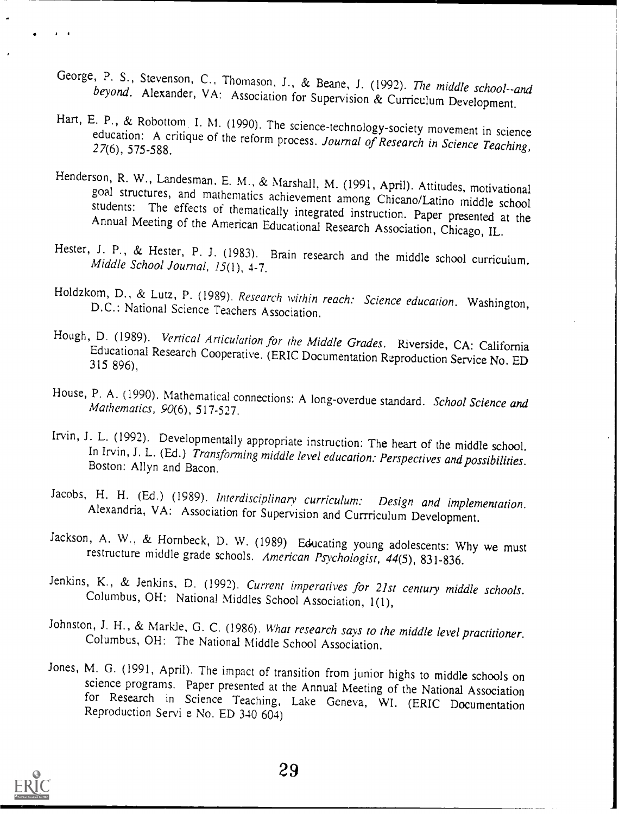- George, P. S., Stevenson, C., Thomason, J., & Beane, J. (1992). The middle school--and beyond. Alexander, VA: Association for Supervision & Curriculum Development.
- Hart, E. P., & Robottom I. M. (1990). The science-technology-society movement in science education: A critique of the reform process. Journal of Research in Science Teaching, 27(6), 575-588.
- Henderson, R. W., Landesman, E. M., & Marshall, M. (1991, April). Attitudes, motivational goal structures, and mathematics achievement among Chicano/Latino middle school students: The effects of thematically integrated ins
- Hester, J. P., & Hester, P. J. (1983). Brain research and the middle school curriculum.<br>Middle School Journal, 15(1), 4-7.
- Holdzkom, D., & Lutz, P. (1989). Research within reach: Science education. Washington, D.C.: National Science Teachers Association.
- Hough, D. (1989). *Vertical Articulation for the Middle Grades*. Riverside, CA: California<br>Educational Research Cooperative. (ERIC Documentation Reproduction Service No. ED<br>315 896),
- House, P. A. (1990). Mathematical connections: A long-overdue standard. School Science and Mathematics, 90(6), 517-527.
- Irvin, J. L. (1992). Developmentally appropriate instruction: The heart of the middle school.<br>In Irvin, J. L. (Ed.) Transforming middle level education: Perspectives and possibilities.<br>Boston: Allyn and Bacon.
- Jacobs, H. H. (Ed.) (1989). Interdisciplinary curriculum: Design and implementation, Alexandria, VA: Association for Supervision and Currriculum Development.
- Jackson, A. W., & Hornbeck, D. W. (1989) Educating young adolescents: Why we must restructure middle grade schools. American Psychologist, 44(5), 831-836.
- Jenkins, K., & Jenkins, D. (1992). Current imperatives for 21st century middle schools.<br>Columbus, OH: National Middles School Association, 1(1),
- Johnston, J. H., & Markle, G. C. (1986). What research says to the middle level practitioner.<br>Columbus, OH: The National Middle School Association.
- Jones, M. G. (1991, April). The impact of transition from junior highs to middle schools on science programs. Paper presented at the Annual Meeting of the National Association for Research in Science Teaching, Lake Geneva,

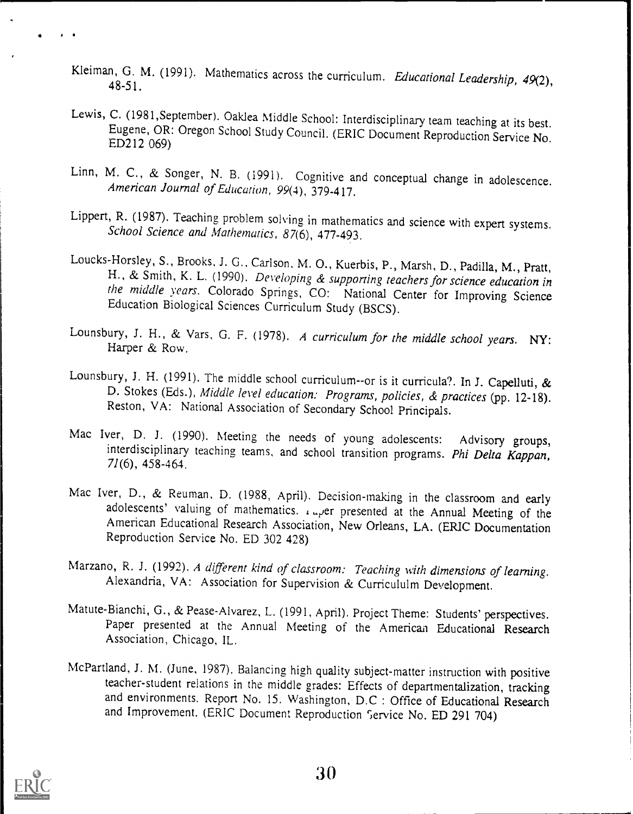- Kleiman, G. M. (1991). Mathematics across the curriculum. *Educational Leadership*, 49(2), 48-51.
- Lewis, C. (1981,September). Oaklea Middle School: Interdisciplinary team teaching at its best. Eugene, OR: Oregon School Study Council. (ERIC Document Reproduction Service No. ED212 069)
- Linn, M. C., & Songer, N. B. (1991). Cognitive and conceptual change in adolescence.<br>American Journal of Education, 99(4), 379-417.
- Lippert, R. (1987). Teaching problem solving in mathematics and science with expert systems.<br>School Science and Mathematics, 87(6), 477-493.
- Loucks-Horsley, S., Brooks, J. G., Carlson, M. O., Kuerbis, P., Marsh, D., Padilla, M., Pratt, H., & Smith, K. L. (1990). *Developing & supporting teachers for science education in* the middle years. Colorado Springs, CO:
- Lounsbury, J. H., & Vars, G. F. (1978). A curriculum for the middle school years. NY:<br>Harper & Row.
- Lounsbury, J. H. (1991). The middle school curriculum--or is it curricula?. In J. Capelluti, & D. Stokes (Eds.), Middle level education: Programs, policies, & practices (pp. 12-18). Reston, VA: National Association of Secondary School Principals.
- Mac Iver, D. J. (1990). Meeting the needs of young adolescents: Advisory groups, interdisciplinary teaching teams, and school transition programs. Phi Delta Kappan, 71(6), 458-464.
- Mac Iver, D., & Reuman, D. (1988, April). Decision-making in the classroom and early adolescents' valuing of mathematics.  $I_{\mu}$ er presented at the Annual Meeting of the American Educational Research Association, New Orleans, LA. (ERIC Documentation Reproduction Service No. ED 302 428)
- Marzano, R. J. (1992). A different kind of classroom: Teaching with dimensions of learning. Alexandria, VA: Association for Supervision & Curricululm Development.
- Matute-Bianchi, G., & Pease-Alvarez, L. (1991, April). Project Theme: Students' perspectives. Paper presented at the Annual Meeting of the American Educational Research Association, Chicago, IL.
- McPartland, J. M. (June, 1987). Balancing high quality subject-matter instruction with positive teacher-student relations in the middle grades: Effects of departmentalization, tracking and environments. Report No. 15. Washington, D.C : Office of Educational Research and Improvement. (ERIC Document Reproduction Service No. ED 291 704)

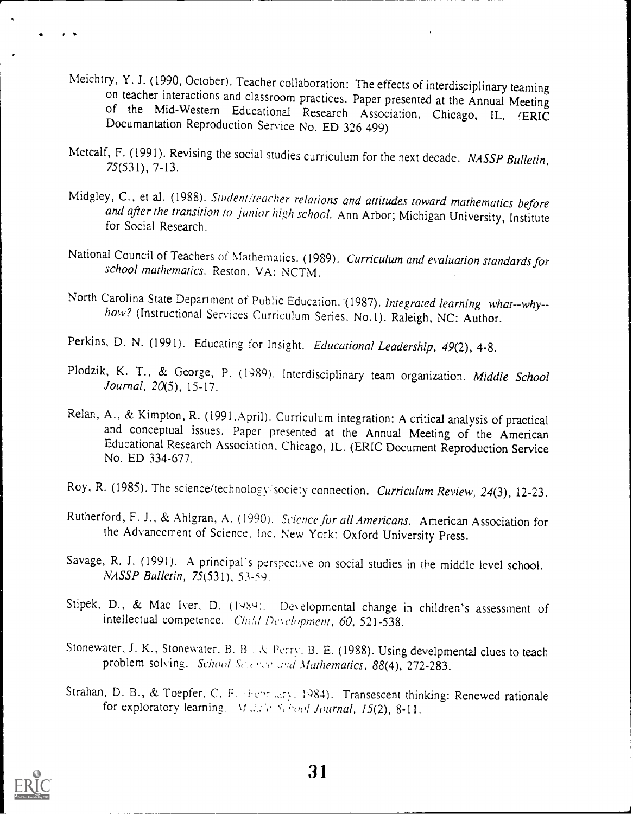- Meichtry, Y. J. (1990, October). Teacher collaboration: The effects of interdisciplinary teaming<br>on teacher interactions and classroom practices. Paper presented at the Annual Meeting<br>of the Mid-Western Educational Researc
- Metcalf, F. (1991). Revising the social studies curriculum for the next decade. NASSP Bulletin,<br>75(531), 7-13.
- Midgley, C., et al. (1988). Student/teacher relations and attitudes toward mathematics before<br>and after the transition to junior high school. Ann Arbor; Michigan University, Institute<br>for Social Research.
- National Council of Teachers of Mathematics. (1989). Curriculum and evaluation standards for school mathematics. Reston. VA: NCTM.
- North Carolina State Department of Public Education. (1987). Integrated learning what--why--<br>how? (Instructional Services Curriculum Series, No.1). Raleigh, NC: Author.
- Perkins, D. N. (1991). Educating for Insight. Educational Leadership, 49(2), 4-8.
- Plodzik, K. T., & George, P. (1989). Interdisciplinary team organization. Middle School Journal, 20(5), 15-17.
- Relan, A., & Kimpton, R. (1991.April). Curriculum integration: A critical analysis of practical and conceptual issues. Paper presented at the Annual Meeting of the American Educational Research Association, Chicago, IL. (ERIC Document Reproduction Service No. ED 334-677.
- Roy, R. (1985). The science/technology/society connection. Curriculum Review, 24(3), 12-23.
- Rutherford, F. J., & Ahlgran, A. (1990). Science for all Americans. American Association for the Advancement of Science, Inc. New York: Oxford University Press.
- Savage, R. J. (1991). A principal's perspective on social studies in the middle level school. NASSP Bulletin, 75(531), 53-59.
- Stipek, D., & Mac Iver, D. (1989). Developmental change in children's assessment of intellectual competence. Child Development, 60, 521-538.
- Stonewater, J. K., Stonewater, B. B., & Perry, B. E. (1988). Using develpmental clues to teach problem solving. School Sc., even and Mathematics, 88(4), 272-283.
- Strahan, D. B., & Toepfer, C. F. (Ferricary, 1984). Transescent thinking: Renewed rationale for exploratory learning.  $M, Z \in S($  hood Journal, 15(2), 8-11.